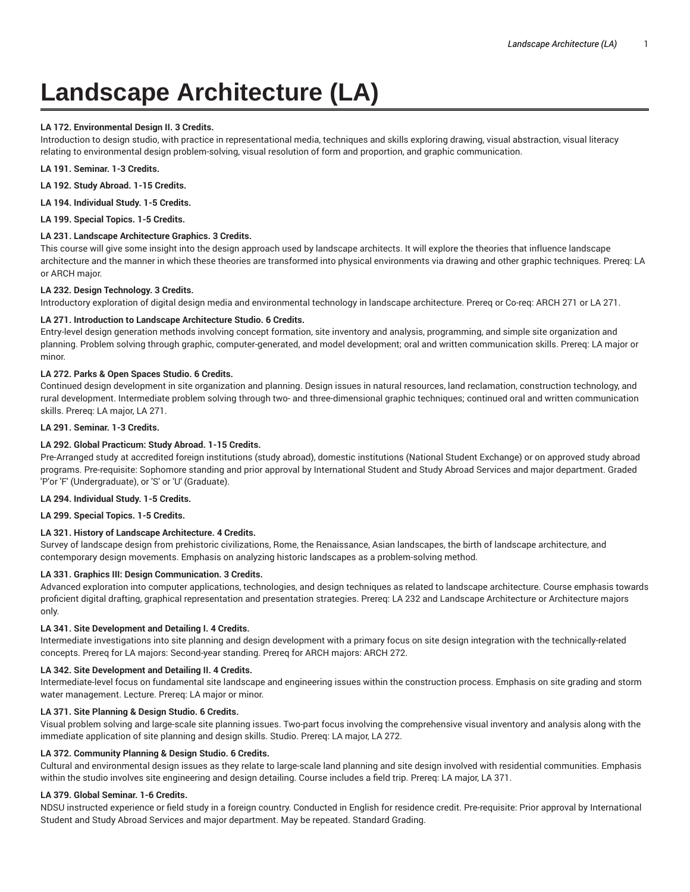# **Landscape Architecture (LA)**

# **LA 172. Environmental Design II. 3 Credits.**

Introduction to design studio, with practice in representational media, techniques and skills exploring drawing, visual abstraction, visual literacy relating to environmental design problem-solving, visual resolution of form and proportion, and graphic communication.

#### **LA 191. Seminar. 1-3 Credits.**

**LA 192. Study Abroad. 1-15 Credits.**

**LA 194. Individual Study. 1-5 Credits.**

**LA 199. Special Topics. 1-5 Credits.**

# **LA 231. Landscape Architecture Graphics. 3 Credits.**

This course will give some insight into the design approach used by landscape architects. It will explore the theories that influence landscape architecture and the manner in which these theories are transformed into physical environments via drawing and other graphic techniques. Prereq: LA or ARCH major.

# **LA 232. Design Technology. 3 Credits.**

Introductory exploration of digital design media and environmental technology in landscape architecture. Prereq or Co-req: ARCH 271 or LA 271.

# **LA 271. Introduction to Landscape Architecture Studio. 6 Credits.**

Entry-level design generation methods involving concept formation, site inventory and analysis, programming, and simple site organization and planning. Problem solving through graphic, computer-generated, and model development; oral and written communication skills. Prereq: LA major or minor.

# **LA 272. Parks & Open Spaces Studio. 6 Credits.**

Continued design development in site organization and planning. Design issues in natural resources, land reclamation, construction technology, and rural development. Intermediate problem solving through two- and three-dimensional graphic techniques; continued oral and written communication skills. Prereq: LA major, LA 271.

# **LA 291. Seminar. 1-3 Credits.**

# **LA 292. Global Practicum: Study Abroad. 1-15 Credits.**

Pre-Arranged study at accredited foreign institutions (study abroad), domestic institutions (National Student Exchange) or on approved study abroad programs. Pre-requisite: Sophomore standing and prior approval by International Student and Study Abroad Services and major department. Graded 'P'or 'F' (Undergraduate), or 'S' or 'U' (Graduate).

#### **LA 294. Individual Study. 1-5 Credits.**

**LA 299. Special Topics. 1-5 Credits.**

# **LA 321. History of Landscape Architecture. 4 Credits.**

Survey of landscape design from prehistoric civilizations, Rome, the Renaissance, Asian landscapes, the birth of landscape architecture, and contemporary design movements. Emphasis on analyzing historic landscapes as a problem-solving method.

# **LA 331. Graphics III: Design Communication. 3 Credits.**

Advanced exploration into computer applications, technologies, and design techniques as related to landscape architecture. Course emphasis towards proficient digital drafting, graphical representation and presentation strategies. Prereq: LA 232 and Landscape Architecture or Architecture majors only.

#### **LA 341. Site Development and Detailing I. 4 Credits.**

Intermediate investigations into site planning and design development with a primary focus on site design integration with the technically-related concepts. Prereq for LA majors: Second-year standing. Prereq for ARCH majors: ARCH 272.

#### **LA 342. Site Development and Detailing II. 4 Credits.**

Intermediate-level focus on fundamental site landscape and engineering issues within the construction process. Emphasis on site grading and storm water management. Lecture. Prereq: LA major or minor.

# **LA 371. Site Planning & Design Studio. 6 Credits.**

Visual problem solving and large-scale site planning issues. Two-part focus involving the comprehensive visual inventory and analysis along with the immediate application of site planning and design skills. Studio. Prereq: LA major, LA 272.

#### **LA 372. Community Planning & Design Studio. 6 Credits.**

Cultural and environmental design issues as they relate to large-scale land planning and site design involved with residential communities. Emphasis within the studio involves site engineering and design detailing. Course includes a field trip. Prereq: LA major, LA 371.

# **LA 379. Global Seminar. 1-6 Credits.**

NDSU instructed experience or field study in a foreign country. Conducted in English for residence credit. Pre-requisite: Prior approval by International Student and Study Abroad Services and major department. May be repeated. Standard Grading.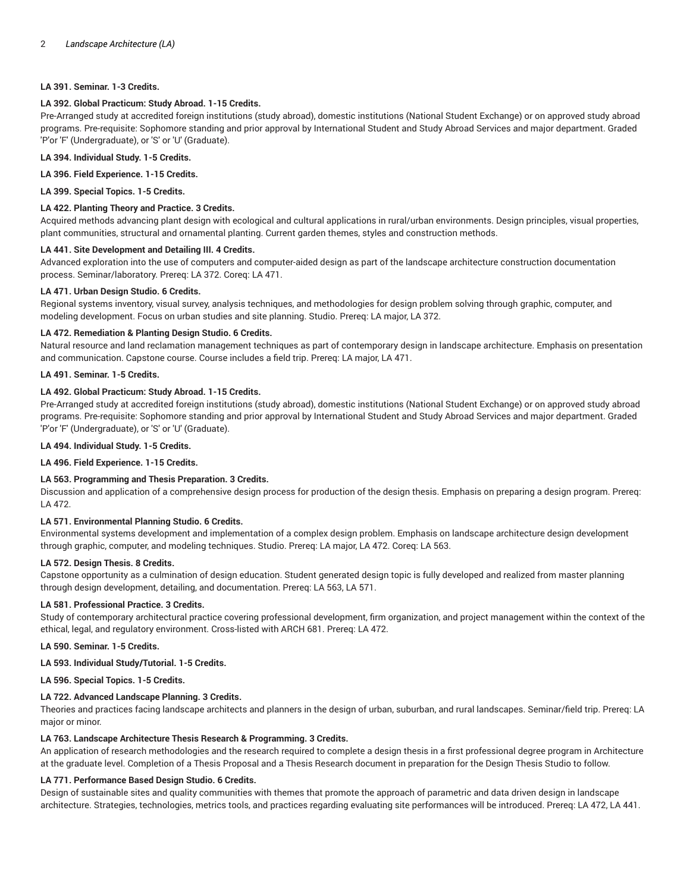# **LA 391. Seminar. 1-3 Credits.**

# **LA 392. Global Practicum: Study Abroad. 1-15 Credits.**

Pre-Arranged study at accredited foreign institutions (study abroad), domestic institutions (National Student Exchange) or on approved study abroad programs. Pre-requisite: Sophomore standing and prior approval by International Student and Study Abroad Services and major department. Graded 'P'or 'F' (Undergraduate), or 'S' or 'U' (Graduate).

**LA 394. Individual Study. 1-5 Credits.**

**LA 396. Field Experience. 1-15 Credits.**

**LA 399. Special Topics. 1-5 Credits.**

# **LA 422. Planting Theory and Practice. 3 Credits.**

Acquired methods advancing plant design with ecological and cultural applications in rural/urban environments. Design principles, visual properties, plant communities, structural and ornamental planting. Current garden themes, styles and construction methods.

# **LA 441. Site Development and Detailing III. 4 Credits.**

Advanced exploration into the use of computers and computer-aided design as part of the landscape architecture construction documentation process. Seminar/laboratory. Prereq: LA 372. Coreq: LA 471.

# **LA 471. Urban Design Studio. 6 Credits.**

Regional systems inventory, visual survey, analysis techniques, and methodologies for design problem solving through graphic, computer, and modeling development. Focus on urban studies and site planning. Studio. Prereq: LA major, LA 372.

# **LA 472. Remediation & Planting Design Studio. 6 Credits.**

Natural resource and land reclamation management techniques as part of contemporary design in landscape architecture. Emphasis on presentation and communication. Capstone course. Course includes a field trip. Prereq: LA major, LA 471.

# **LA 491. Seminar. 1-5 Credits.**

# **LA 492. Global Practicum: Study Abroad. 1-15 Credits.**

Pre-Arranged study at accredited foreign institutions (study abroad), domestic institutions (National Student Exchange) or on approved study abroad programs. Pre-requisite: Sophomore standing and prior approval by International Student and Study Abroad Services and major department. Graded 'P'or 'F' (Undergraduate), or 'S' or 'U' (Graduate).

**LA 494. Individual Study. 1-5 Credits.**

**LA 496. Field Experience. 1-15 Credits.**

# **LA 563. Programming and Thesis Preparation. 3 Credits.**

Discussion and application of a comprehensive design process for production of the design thesis. Emphasis on preparing a design program. Prereq: LA 472.

# **LA 571. Environmental Planning Studio. 6 Credits.**

Environmental systems development and implementation of a complex design problem. Emphasis on landscape architecture design development through graphic, computer, and modeling techniques. Studio. Prereq: LA major, LA 472. Coreq: LA 563.

# **LA 572. Design Thesis. 8 Credits.**

Capstone opportunity as a culmination of design education. Student generated design topic is fully developed and realized from master planning through design development, detailing, and documentation. Prereq: LA 563, LA 571.

# **LA 581. Professional Practice. 3 Credits.**

Study of contemporary architectural practice covering professional development, firm organization, and project management within the context of the ethical, legal, and regulatory environment. Cross-listed with ARCH 681. Prereq: LA 472.

**LA 590. Seminar. 1-5 Credits.**

**LA 593. Individual Study/Tutorial. 1-5 Credits.**

**LA 596. Special Topics. 1-5 Credits.**

# **LA 722. Advanced Landscape Planning. 3 Credits.**

Theories and practices facing landscape architects and planners in the design of urban, suburban, and rural landscapes. Seminar/field trip. Prereq: LA major or minor.

# **LA 763. Landscape Architecture Thesis Research & Programming. 3 Credits.**

An application of research methodologies and the research required to complete a design thesis in a first professional degree program in Architecture at the graduate level. Completion of a Thesis Proposal and a Thesis Research document in preparation for the Design Thesis Studio to follow.

# **LA 771. Performance Based Design Studio. 6 Credits.**

Design of sustainable sites and quality communities with themes that promote the approach of parametric and data driven design in landscape architecture. Strategies, technologies, metrics tools, and practices regarding evaluating site performances will be introduced. Prereq: LA 472, LA 441.